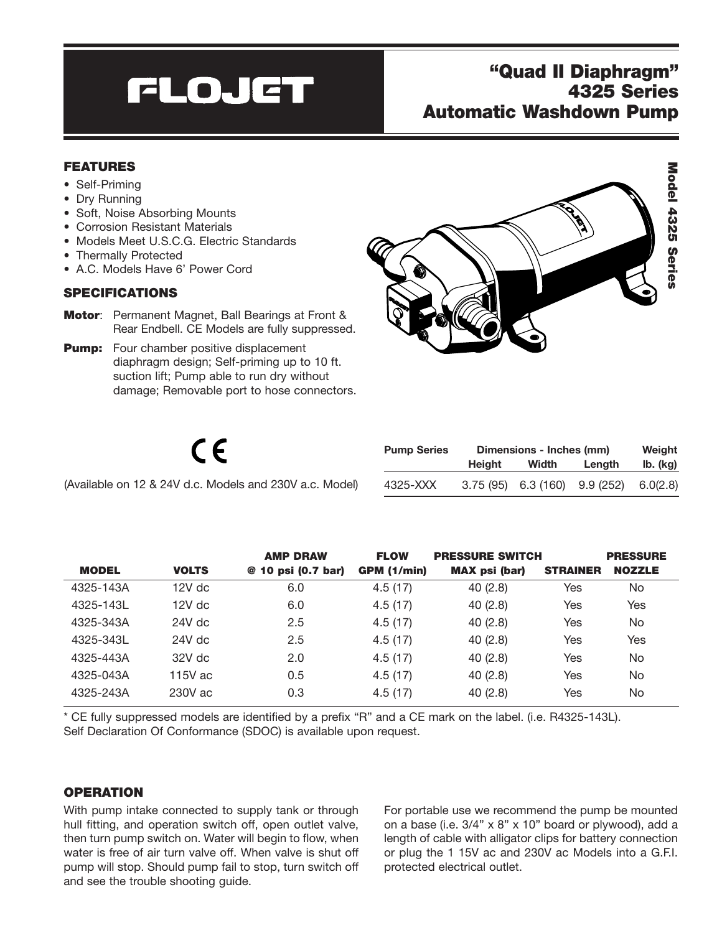# **FLOJET**

# "Quad II Diaphragm" 4325 Series Automatic Washdown Pump

## FEATURES

- Self-Priming
- Dry Running
- Soft, Noise Absorbing Mounts
- Corrosion Resistant Materials
- Models Meet U.S.C.G. Electric Standards
- Thermally Protected
- A.C. Models Have 6' Power Cord

## SPECIFICATIONS

- Motor: Permanent Magnet, Ball Bearings at Front & Rear Endbell. CE Models are fully suppressed.
- **Pump:** Four chamber positive displacement diaphragm design; Self-priming up to 10 ft. suction lift; Pump able to run dry without damage; Removable port to hose connectors.



| (Available on 12 & 24V d.c. Models and 230V a.c. Model) |
|---------------------------------------------------------|
|---------------------------------------------------------|

| <b>Pump Series</b> | Dimensions - Inches (mm) |                      |           | Weight   |  |
|--------------------|--------------------------|----------------------|-----------|----------|--|
|                    | Height                   | Width                | Lenath    | lb. (kg) |  |
| 4325-XXX           |                          | $3.75(95)$ 6.3 (160) | 9.9 (252) | 6.0(2.8) |  |

|              |              | <b>AMP DRAW</b>    | <b>FLOW</b>        | <b>PRESSURE SWITCH</b> |                 | <b>PRESSURE</b> |
|--------------|--------------|--------------------|--------------------|------------------------|-----------------|-----------------|
| <b>MODEL</b> | <b>VOLTS</b> | @ 10 psi (0.7 bar) | <b>GPM (1/min)</b> | <b>MAX</b> psi (bar)   | <b>STRAINER</b> | <b>NOZZLE</b>   |
| 4325-143A    | $12V$ dc     | 6.0                | 4.5(17)            | 40(2.8)                | Yes             | No.             |
| 4325-143L    | $12V$ dc     | 6.0                | 4.5(17)            | 40(2.8)                | Yes             | Yes             |
| 4325-343A    | $24V$ dc     | 2.5                | 4.5(17)            | 40(2.8)                | Yes             | No.             |
| 4325-343L    | $24V$ dc     | 2.5                | 4.5(17)            | 40(2.8)                | Yes             | Yes             |
| 4325-443A    | $32V$ dc     | 2.0                | 4.5(17)            | 40(2.8)                | Yes             | No.             |
| 4325-043A    | 115 $V$ ac   | 0.5                | 4.5(17)            | 40(2.8)                | Yes             | No.             |
| 4325-243A    | 230V ac      | 0.3                | 4.5(17)            | 40(2.8)                | Yes             | No              |

\* CE fully suppressed models are identified by a prefix "R" and a CE mark on the label. (i.e. R4325-143L). Self Declaration Of Conformance (SDOC) is available upon request.

## **OPERATION**

With pump intake connected to supply tank or through hull fitting, and operation switch off, open outlet valve, then turn pump switch on. Water will begin to flow, when water is free of air turn valve off. When valve is shut off pump will stop. Should pump fail to stop, turn switch off and see the trouble shooting guide.

For portable use we recommend the pump be mounted on a base (i.e. 3/4" x 8" x 10" board or plywood), add a length of cable with alligator clips for battery connection or plug the 1 15V ac and 230V ac Models into a G.F.I. protected electrical outlet.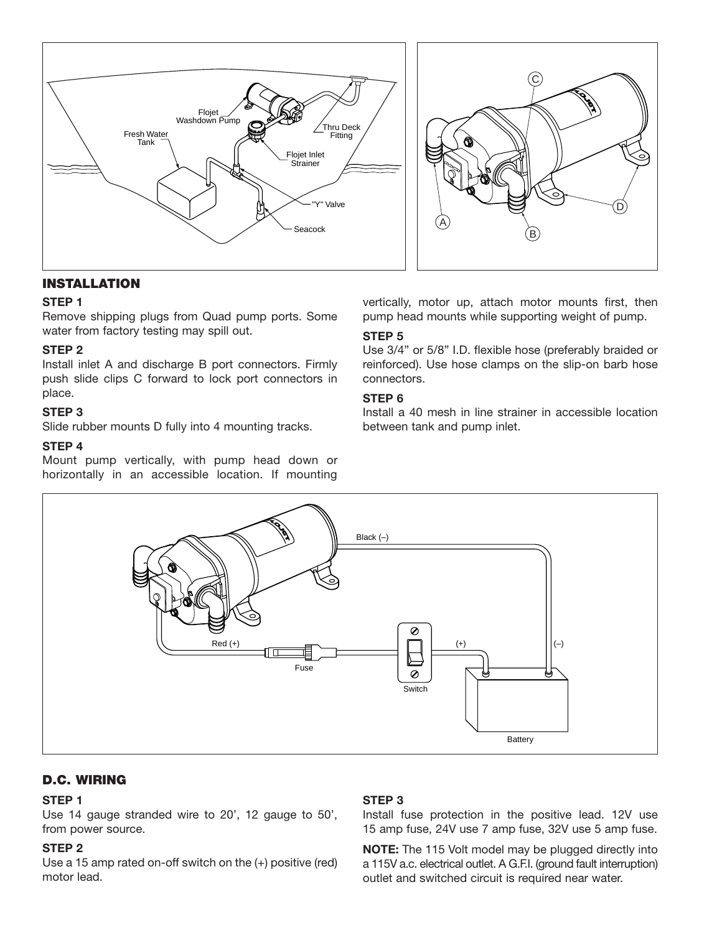

## INSTALLATION

#### **STEP 1**

Remove shipping plugs from Quad pump ports. Some water from factory testing may spill out.

#### **STEP 2**

Install inlet A and discharge B port connectors. Firmly push slide clips C forward to lock port connectors in place.

## **STEP 3**

Slide rubber mounts D fully into 4 mounting tracks.

#### **STEP 4**

Mount pump vertically, with pump head down or horizontally in an accessible location. If mounting

vertically, motor up, attach motor mounts first, then pump head mounts while supporting weight of pump.

## **STEP 5**

Use 3/4" or 5/8" I.D. flexible hose (preferably braided or reinforced). Use hose clamps on the slip-on barb hose connectors.

## **STEP 6**

Install a 40 mesh in line strainer in accessible location between tank and pump inlet.



## D.C. WIRING

## **STEP 1**

Use 14 gauge stranded wire to 20', 12 gauge to 50', from power source.

## **STEP 2**

Use a 15 amp rated on-off switch on the (+) positive (red) motor lead.

## **STEP 3**

Install fuse protection in the positive lead. 12V use 15 amp fuse, 24V use 7 amp fuse, 32V use 5 amp fuse.

**NOTE:** The 115 Volt model may be plugged directly into a 115V a.c. electrical outlet. A G.F.I. (ground fault interruption) outlet and switched circuit is required near water.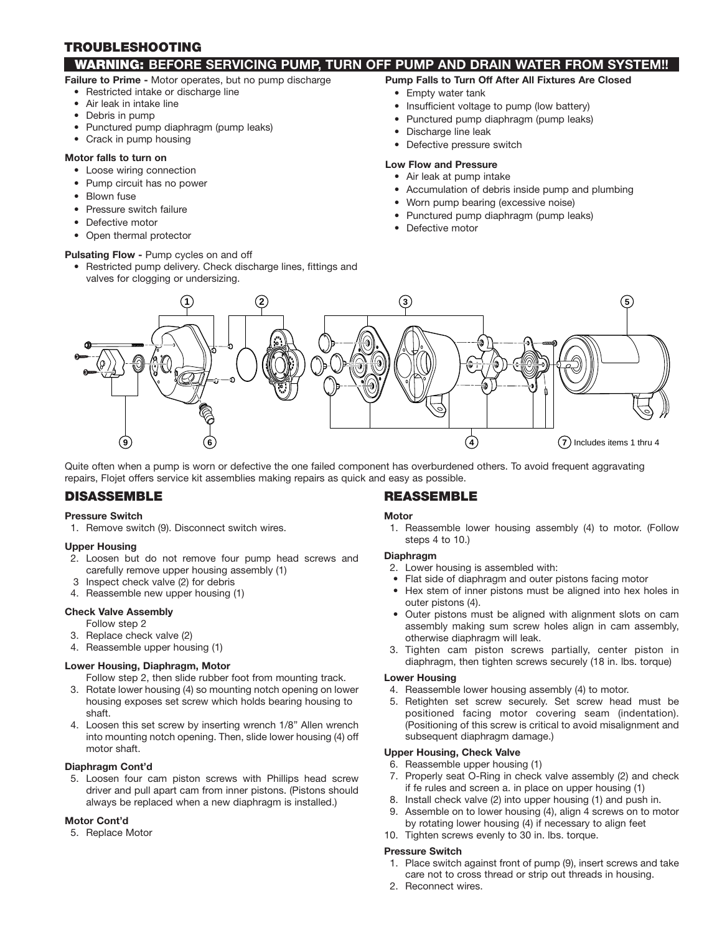## TROUBLESHOOTING

## WARNING: **BEFORE SERVICING PUMP, TURN OFF PUMP AND DRAIN WATER FROM SYSTEM!!**

- **Failure to Prime -** Motor operates, but no pump discharge
	- Restricted intake or discharge line
	- Air leak in intake line
	- Debris in pump
	- Punctured pump diaphragm (pump leaks)
	- Crack in pump housing

#### **Motor falls to turn on**

- Loose wiring connection
- Pump circuit has no power
- Blown fuse
- Pressure switch failure
- Defective motor
- Open thermal protector

#### **Pulsating Flow - Pump cycles on and off**

• Restricted pump delivery. Check discharge lines, fittings and valves for clogging or undersizing.

#### **Pump Falls to Turn Off After All Fixtures Are Closed**

- Empty water tank
- Insufficient voltage to pump (low battery)
- Punctured pump diaphragm (pump leaks)
- Discharge line leak
- Defective pressure switch

#### **Low Flow and Pressure**

- Air leak at pump intake
- Accumulation of debris inside pump and plumbing
- Worn pump bearing (excessive noise)
- Punctured pump diaphragm (pump leaks)
- Defective motor



Quite often when a pump is worn or defective the one failed component has overburdened others. To avoid frequent aggravating repairs, Flojet offers service kit assemblies making repairs as quick and easy as possible.

## DISASSEMBLE

#### **Pressure Switch**

1. Remove switch (9). Disconnect switch wires.

#### **Upper Housing**

- 2. Loosen but do not remove four pump head screws and carefully remove upper housing assembly (1)
- 3 Inspect check valve (2) for debris
- 4. Reassemble new upper housing (1)

#### **Check Valve Assembly**

- Follow step 2
- 3. Replace check valve (2)
- 4. Reassemble upper housing (1)

#### **Lower Housing, Diaphragm, Motor**

Follow step 2, then slide rubber foot from mounting track.

- 3. Rotate lower housing (4) so mounting notch opening on lower housing exposes set screw which holds bearing housing to shaft.
- 4. Loosen this set screw by inserting wrench 1/8" Allen wrench into mounting notch opening. Then, slide lower housing (4) off motor shaft.

#### **Diaphragm Cont'd**

5. Loosen four cam piston screws with Phillips head screw driver and pull apart cam from inner pistons. (Pistons should always be replaced when a new diaphragm is installed.)

#### **Motor Cont'd**

5. Replace Motor

## REASSEMBLE

#### **Motor**

1. Reassemble lower housing assembly (4) to motor. (Follow steps 4 to 10.)

#### **Diaphragm**

- 2. Lower housing is assembled with:
- Flat side of diaphragm and outer pistons facing motor
- Hex stem of inner pistons must be aligned into hex holes in outer pistons (4).
- Outer pistons must be aligned with alignment slots on cam assembly making sum screw holes align in cam assembly, otherwise diaphragm will leak.
- 3. Tighten cam piston screws partially, center piston in diaphragm, then tighten screws securely (18 in. lbs. torque)

#### **Lower Housing**

- 4. Reassemble lower housing assembly (4) to motor.
- 5. Retighten set screw securely. Set screw head must be positioned facing motor covering seam (indentation). (Positioning of this screw is critical to avoid misalignment and subsequent diaphragm damage.)

#### **Upper Housing, Check Valve**

- 6. Reassemble upper housing (1)
- 7. Properly seat O-Ring in check valve assembly (2) and check if fe rules and screen a. in place on upper housing (1)
- 8. Install check valve (2) into upper housing (1) and push in.
- 9. Assemble on to lower housing (4), align 4 screws on to motor by rotating lower housing (4) if necessary to align feet
- 10. Tighten screws evenly to 30 in. lbs. torque.

#### **Pressure Switch**

- 1. Place switch against front of pump (9), insert screws and take care not to cross thread or strip out threads in housing.
- 2. Reconnect wires.